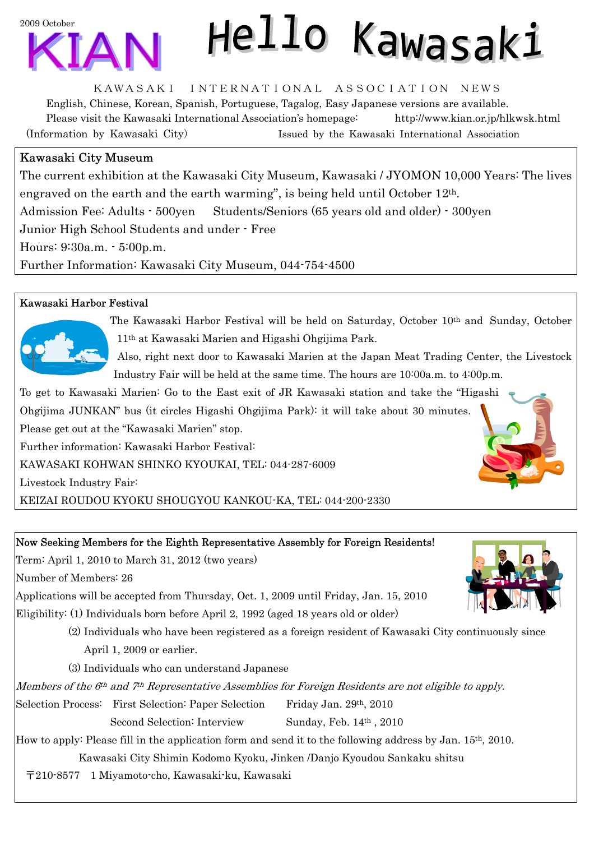

# Hello Kawasaki

KAWASAKI INTERNATIONAL ASSOCIATION NEWS

English, Chinese, Korean, Spanish, Portuguese, Tagalog, Easy Japanese versions are available. Please visit the Kawasaki International Association's homepage: http://www.kian.or.jp/hlkwsk.html (Information by Kawasaki City) Issued by the Kawasaki International Association

## Kawasaki City Museum

The current exhibition at the Kawasaki City Museum, Kawasaki / JYOMON 10,000 Years: The lives engraved on the earth and the earth warming", is being held until October 12th. Admission Fee: Adults - 500yen Students/Seniors (65 years old and older) - 300yen Junior High School Students and under - Free Hours: 9:30a.m. - 5:00p.m. Further Information: Kawasaki City Museum, 044-754-4500

### Kawasaki Harbor Festival



The Kawasaki Harbor Festival will be held on Saturday, October 10th and Sunday, October 11th at Kawasaki Marien and Higashi Ohgijima Park.

Also, right next door to Kawasaki Marien at the Japan Meat Trading Center, the Livestock Industry Fair will be held at the same time. The hours are 10:00a.m. to 4:00p.m.

To get to Kawasaki Marien: Go to the East exit of JR Kawasaki station and take the "Higashi Ohgijima JUNKAN" bus (it circles Higashi Ohgijima Park): it will take about 30 minutes. Please get out at the "Kawasaki Marien" stop.

Further information: Kawasaki Harbor Festival:

KAWASAKI KOHWAN SHINKO KYOUKAI, TEL: 044-287-6009

Livestock Industry Fair:

KEIZAI ROUDOU KYOKU SHOUGYOU KANKOU-KA, TEL: 044-200-2330

#### Now Seeking Members for the Eighth Representative Assembly for Foreign Residents!

Term: April 1, 2010 to March 31, 2012 (two years)

Number of Members: 26

Applications will be accepted from Thursday, Oct. 1, 2009 until Friday, Jan. 15, 2010

Eligibility: (1) Individuals born before April 2, 1992 (aged 18 years old or older)

 (2) Individuals who have been registered as a foreign resident of Kawasaki City continuously since April 1, 2009 or earlier.

(3) Individuals who can understand Japanese

Members of the 6<sup>th</sup> and 7<sup>th</sup> Representative Assemblies for Foreign Residents are not eligible to apply.

Selection Process: First Selection: Paper Selection Friday Jan. 29th, 2010

Second Selection: Interview Sunday, Feb. 14<sup>th</sup>, 2010

How to apply: Please fill in the application form and send it to the following address by Jan. 15th, 2010.

Kawasaki City Shimin Kodomo Kyoku, Jinken /Danjo Kyoudou Sankaku shitsu

〒210-8577 1 Miyamoto-cho, Kawasaki-ku, Kawasaki